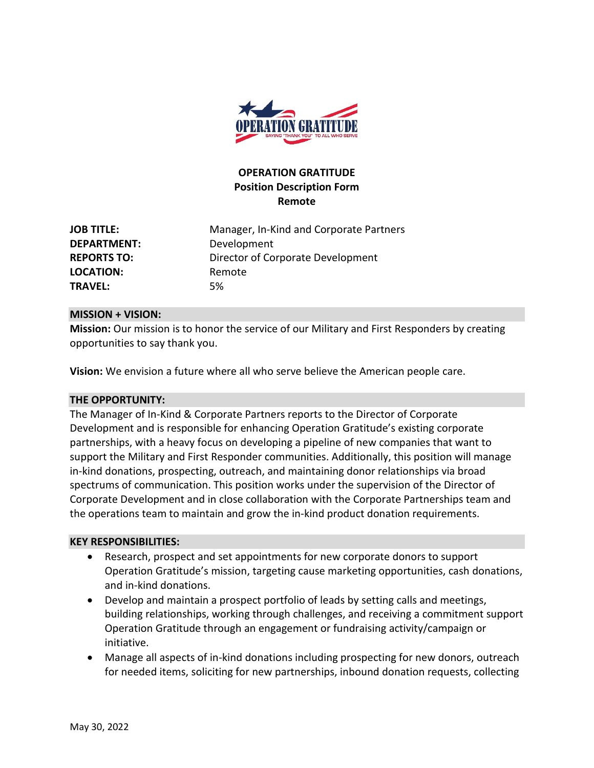

# **OPERATION GRATITUDE Position Description Form Remote**

**JOB TITLE:** Manager, In-Kind and Corporate Partners **DEPARTMENT:** Development **REPORTS TO:** Director of Corporate Development LOCATION: Remote **TRAVEL:** 5%

### **MISSION + VISION:**

**Mission:** Our mission is to honor the service of our Military and First Responders by creating opportunities to say thank you.

**Vision:** We envision a future where all who serve believe the American people care.

#### **THE OPPORTUNITY:**

The Manager of In-Kind & Corporate Partners reports to the Director of Corporate Development and is responsible for enhancing Operation Gratitude's existing corporate partnerships, with a heavy focus on developing a pipeline of new companies that want to support the Military and First Responder communities. Additionally, this position will manage in-kind donations, prospecting, outreach, and maintaining donor relationships via broad spectrums of communication. This position works under the supervision of the Director of Corporate Development and in close collaboration with the Corporate Partnerships team and the operations team to maintain and grow the in-kind product donation requirements.

#### **KEY RESPONSIBILITIES:**

- Research, prospect and set appointments for new corporate donors to support Operation Gratitude's mission, targeting cause marketing opportunities, cash donations, and in-kind donations.
- Develop and maintain a prospect portfolio of leads by setting calls and meetings, building relationships, working through challenges, and receiving a commitment support Operation Gratitude through an engagement or fundraising activity/campaign or initiative.
- Manage all aspects of in-kind donations including prospecting for new donors, outreach for needed items, soliciting for new partnerships, inbound donation requests, collecting